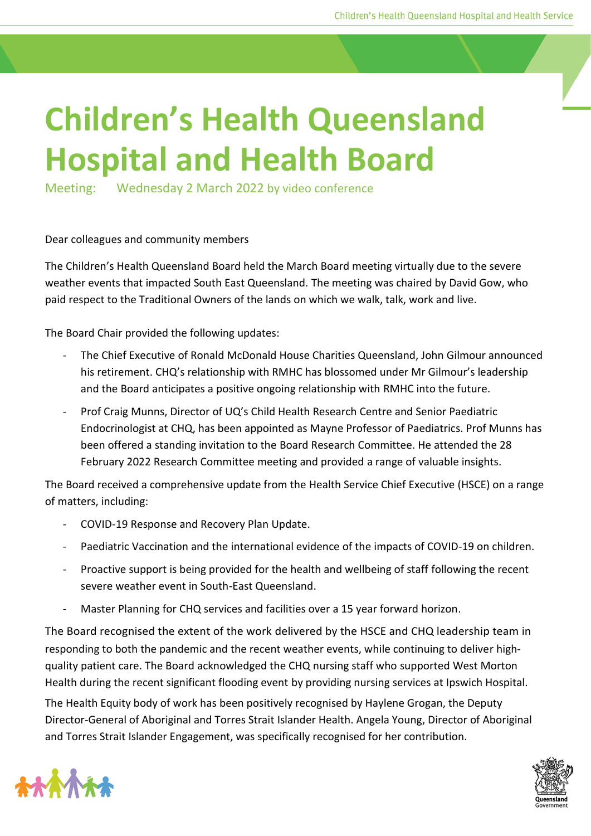## **Children's Health Queensland Hospital and Health Board**

Meeting: Wednesday 2 March 2022 by video conference

## Dear colleagues and community members

The Children's Health Queensland Board held the March Board meeting virtually due to the severe weather events that impacted South East Queensland. The meeting was chaired by David Gow, who paid respect to the Traditional Owners of the lands on which we walk, talk, work and live.

The Board Chair provided the following updates:

- The Chief Executive of Ronald McDonald House Charities Queensland, John Gilmour announced his retirement. CHQ's relationship with RMHC has blossomed under Mr Gilmour's leadership and the Board anticipates a positive ongoing relationship with RMHC into the future.
- Prof Craig Munns, Director of UQ's Child Health Research Centre and Senior Paediatric Endocrinologist at CHQ, has been appointed as Mayne Professor of Paediatrics. Prof Munns has been offered a standing invitation to the Board Research Committee. He attended the 28 February 2022 Research Committee meeting and provided a range of valuable insights.

The Board received a comprehensive update from the Health Service Chief Executive (HSCE) on a range of matters, including:

- COVID-19 Response and Recovery Plan Update.
- Paediatric Vaccination and the international evidence of the impacts of COVID-19 on children.
- Proactive support is being provided for the health and wellbeing of staff following the recent severe weather event in South-East Queensland.
- Master Planning for CHQ services and facilities over a 15 year forward horizon.

The Board recognised the extent of the work delivered by the HSCE and CHQ leadership team in responding to both the pandemic and the recent weather events, while continuing to deliver highquality patient care. The Board acknowledged the CHQ nursing staff who supported West Morton Health during the recent significant flooding event by providing nursing services at Ipswich Hospital.

The Health Equity body of work has been positively recognised by Haylene Grogan, the Deputy Director-General of Aboriginal and Torres Strait Islander Health. Angela Young, Director of Aboriginal and Torres Strait Islander Engagement, was specifically recognised for her contribution.